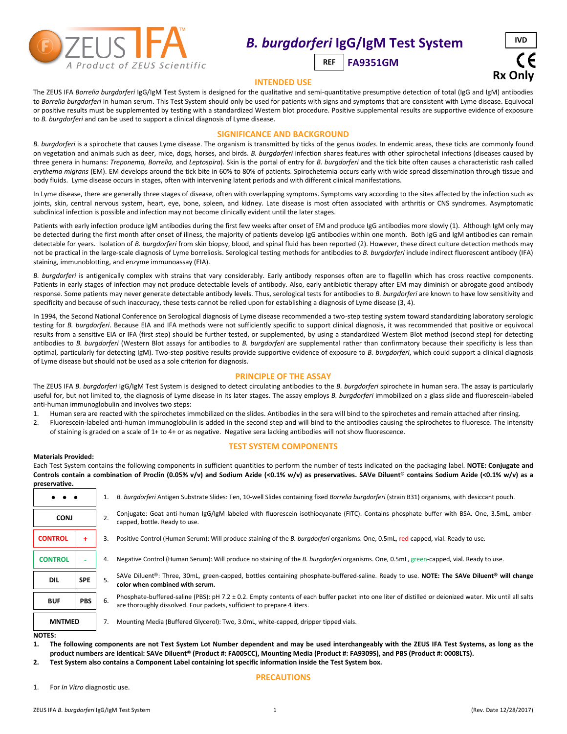

# *B. burgdorferi* **IgG/IgM Test System**

 **FA9351GM REF**



#### **INTENDED USE**

The ZEUS IFA *Borrelia burgdorferi* IgG/IgM Test System is designed for the qualitative and semi-quantitative presumptive detection of total (IgG and IgM) antibodies to *Borrelia burgdorferi* in human serum. This Test System should only be used for patients with signs and symptoms that are consistent with Lyme disease. Equivocal or positive results must be supplemented by testing with a standardized Western blot procedure. Positive supplemental results are supportive evidence of exposure to *B. burgdorferi* and can be used to support a clinical diagnosis of Lyme disease.

## **SIGNIFICANCE AND BACKGROUND**

*B. burgdorferi* is a spirochete that causes Lyme disease. The organism is transmitted by ticks of the genus *Ixodes*. In endemic areas, these ticks are commonly found on vegetation and animals such as deer, mice, dogs, horses, and birds. *B. burgdorferi* infection shares features with other spirochetal infections (diseases caused by three genera in humans: *Treponema, Borrelia,* and *Leptospira*). Skin is the portal of entry for *B. burgdorferi* and the tick bite often causes a characteristic rash called *erythema migrans* (EM). EM develops around the tick bite in 60% to 80% of patients. Spirochetemia occurs early with wide spread dissemination through tissue and body fluids. Lyme disease occurs in stages, often with intervening latent periods and with different clinical manifestations.

In Lyme disease, there are generally three stages of disease, often with overlapping symptoms. Symptoms vary according to the sites affected by the infection such as joints, skin, central nervous system, heart, eye, bone, spleen, and kidney. Late disease is most often associated with arthritis or CNS syndromes. Asymptomatic subclinical infection is possible and infection may not become clinically evident until the later stages.

Patients with early infection produce IgM antibodies during the first few weeks after onset of EM and produce IgG antibodies more slowly (1). Although IgM only may be detected during the first month after onset of illness, the majority of patients develop IgG antibodies within one month. Both IgG and IgM antibodies can remain detectable for years. Isolation of *B. burgdorferi* from skin biopsy, blood, and spinal fluid has been reported (2). However, these direct culture detection methods may not be practical in the large-scale diagnosis of Lyme borreliosis. Serological testing methods for antibodies to *B. burgdorferi* include indirect fluorescent antibody (IFA) staining, immunoblotting, and enzyme immunoassay (EIA).

*B. burgdorferi* is antigenically complex with strains that vary considerably. Early antibody responses often are to flagellin which has cross reactive components. Patients in early stages of infection may not produce detectable levels of antibody. Also, early antibotic therapy after EM may diminish or abrogate good antibody response. Some patients may never generate detectable antibody levels. Thus, serological tests for antibodies to *B. burgdorferi* are known to have low sensitivity and specificity and because of such inaccuracy, these tests cannot be relied upon for establishing a diagnosis of Lyme disease (3, 4).

In 1994, the Second National Conference on Serological diagnosis of Lyme disease recommended a two-step testing system toward standardizing laboratory serologic testing for *B. burgdorferi*. Because EIA and IFA methods were not sufficiently specific to support clinical diagnosis, it was recommended that positive or equivocal results from a sensitive EIA or IFA (first step) should be further tested, or supplemented, by using a standardized Western Blot method (second step) for detecting antibodies to *B. burgdorferi* (Western Blot assays for antibodies to *B. burgdorferi* are supplemental rather than confirmatory because their specificity is less than optimal, particularly for detecting IgM). Two-step positive results provide supportive evidence of exposure to *B. burgdorferi*, which could support a clinical diagnosis of Lyme disease but should not be used as a sole criterion for diagnosis.

## **PRINCIPLE OF THE ASSAY**

The ZEUS IFA *B. burgdorferi* IgG/IgM Test System is designed to detect circulating antibodies to the *B. burgdorferi* spirochete in human sera. The assay is particularly useful for, but not limited to, the diagnosis of Lyme disease in its later stages. The assay employs *B. burgdorferi* immobilized on a glass slide and fluorescein-labeled anti-human immunoglobulin and involves two steps:

- 1. Human sera are reacted with the spirochetes immobilized on the slides. Antibodies in the sera will bind to the spirochetes and remain attached after rinsing.
- 2. Fluorescein-labeled anti-human immunoglobulin is added in the second step and will bind to the antibodies causing the spirochetes to fluoresce. The intensity of staining is graded on a scale of 1+ to 4+ or as negative. Negative sera lacking antibodies will not show fluorescence.

#### **Materials Provided:**

## **TEST SYSTEM COMPONENTS**

Each Test System contains the following components in sufficient quantities to perform the number of tests indicated on the packaging label. **NOTE: Conjugate and Controls contain a combination of Proclin (0.05% v/v) and Sodium Azide (<0.1% w/v) as preservatives. SAVe Diluent® contains Sodium Azide (<0.1% w/v) as a preservative.**

| $\bullet\quad\bullet\quad\bullet$                                                                         |                                                     |    | B. burgdorferi Antigen Substrate Slides: Ten, 10-well Slides containing fixed Borrelia burgdorferi (strain B31) organisms, with desiccant pouch.                           |
|-----------------------------------------------------------------------------------------------------------|-----------------------------------------------------|----|----------------------------------------------------------------------------------------------------------------------------------------------------------------------------|
| <b>CONJ</b>                                                                                               |                                                     | 2. | Conjugate: Goat anti-human IgG/IgM labeled with fluorescein isothiocyanate (FITC). Contains phosphate buffer with BSA. One, 3.5mL, amber-<br>capped, bottle. Ready to use. |
| <b>CONTROL</b>                                                                                            | 3.                                                  |    | Positive Control (Human Serum): Will produce staining of the B. burgdorferi organisms. One, 0.5mL, red-capped, vial. Ready to use.                                         |
| <b>CONTROL</b>                                                                                            |                                                     | 4. | Negative Control (Human Serum): Will produce no staining of the B. burgdorferi organisms. One, 0.5mL, green-capped, vial. Ready to use.                                    |
| <b>DIL</b>                                                                                                | <b>SPE</b><br>5.<br>color when combined with serum. |    | SAVe Diluent <sup>®</sup> : Three, 30mL, green-capped, bottles containing phosphate-buffered-saline. Ready to use. <b>NOTE: The SAVe Diluent<sup>®</sup> will change</b>   |
| <b>PBS</b><br><b>BUF</b><br>6.<br>are thoroughly dissolved. Four packets, sufficient to prepare 4 liters. |                                                     |    | Phosphate-buffered-saline (PBS): pH 7.2 ± 0.2. Empty contents of each buffer packet into one liter of distilled or deionized water. Mix until all salts                    |
| <b>MNTMED</b><br>$ - - -$                                                                                 |                                                     | 7. | Mounting Media (Buffered Glycerol): Two, 3.0mL, white-capped, dripper tipped vials.                                                                                        |

**NOTES:**

**1. The following components are not Test System Lot Number dependent and may be used interchangeably with the ZEUS IFA Test Systems, as long as the product numbers are identical: SAVe Diluent® (Product #: FA005CC), Mounting Media (Product #: FA9309S), and PBS (Product #: 0008LTS).**

**PRECAUTIONS**

**2. Test System also contains a Component Label containing lot specific information inside the Test System box.**

1. For *In Vitro* diagnostic use.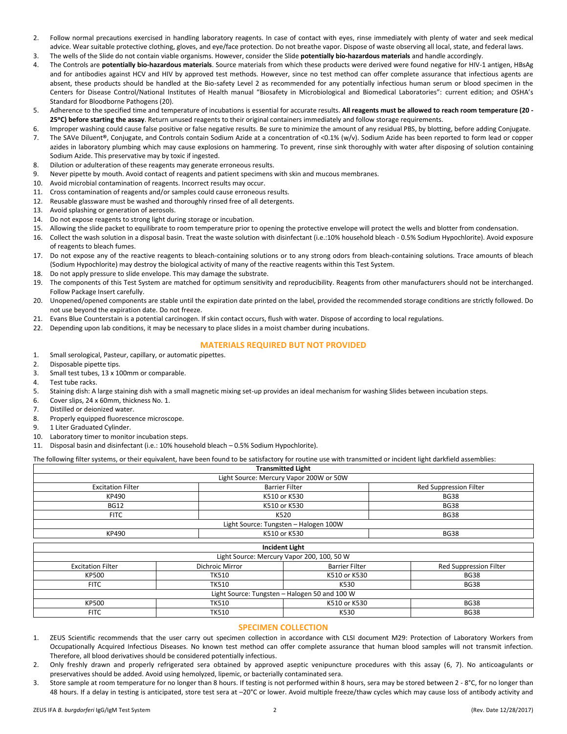- 2. Follow normal precautions exercised in handling laboratory reagents. In case of contact with eyes, rinse immediately with plenty of water and seek medical advice. Wear suitable protective clothing, gloves, and eye/face protection. Do not breathe vapor. Dispose of waste observing all local, state, and federal laws.
- 3. The wells of the Slide do not contain viable organisms. However, consider the Slide **potentially bio-hazardous materials** and handle accordingly.
- 4. The Controls are **potentially bio-hazardous materials**. Source materials from which these products were derived were found negative for HIV-1 antigen, HBsAg and for antibodies against HCV and HIV by approved test methods. However, since no test method can offer complete assurance that infectious agents are absent, these products should be handled at the Bio-safety Level 2 as recommended for any potentially infectious human serum or blood specimen in the Centers for Disease Control/National Institutes of Health manual "Biosafety in Microbiological and Biomedical Laboratories": current edition; and OSHA's Standard for Bloodborne Pathogens (20).
- 5. Adherence to the specified time and temperature of incubations is essential for accurate results. **All reagents must be allowed to reach room temperature (20 - 25C) before starting the assay**. Return unused reagents to their original containers immediately and follow storage requirements.
- 6. Improper washing could cause false positive or false negative results. Be sure to minimize the amount of any residual PBS, by blotting, before adding Conjugate.
- 7. The SAVe Diluent**®**, Conjugate, and Controls contain Sodium Azide at a concentration of <0.1% (w/v). Sodium Azide has been reported to form lead or copper azides in laboratory plumbing which may cause explosions on hammering. To prevent, rinse sink thoroughly with water after disposing of solution containing Sodium Azide. This preservative may by toxic if ingested.
- 8. Dilution or adulteration of these reagents may generate erroneous results.
- 9. Never pipette by mouth. Avoid contact of reagents and patient specimens with skin and mucous membranes.
- 10. Avoid microbial contamination of reagents. Incorrect results may occur.
- 11. Cross contamination of reagents and/or samples could cause erroneous results.
- 12. Reusable glassware must be washed and thoroughly rinsed free of all detergents.
- 13. Avoid splashing or generation of aerosols.
- 14. Do not expose reagents to strong light during storage or incubation.
- 15. Allowing the slide packet to equilibrate to room temperature prior to opening the protective envelope will protect the wells and blotter from condensation.
- 16. Collect the wash solution in a disposal basin. Treat the waste solution with disinfectant (i.e.:10% household bleach 0.5% Sodium Hypochlorite). Avoid exposure of reagents to bleach fumes.
- 17. Do not expose any of the reactive reagents to bleach-containing solutions or to any strong odors from bleach-containing solutions. Trace amounts of bleach (Sodium Hypochlorite) may destroy the biological activity of many of the reactive reagents within this Test System.
- 18. Do not apply pressure to slide envelope. This may damage the substrate.
- 19. The components of this Test System are matched for optimum sensitivity and reproducibility. Reagents from other manufacturers should not be interchanged. Follow Package Insert carefully.
- 20. Unopened/opened components are stable until the expiration date printed on the label, provided the recommended storage conditions are strictly followed. Do not use beyond the expiration date. Do not freeze.
- 21. Evans Blue Counterstain is a potential carcinogen. If skin contact occurs, flush with water. Dispose of according to local regulations.
- 22. Depending upon lab conditions, it may be necessary to place slides in a moist chamber during incubations.

# **MATERIALS REQUIRED BUT NOT PROVIDED**

- 1. Small serological, Pasteur, capillary, or automatic pipettes.
- 2. Disposable pipette tips.
- 3. Small test tubes, 13 x 100mm or comparable.
- 4. Test tube racks.
- 5. Staining dish: A large staining dish with a small magnetic mixing set-up provides an ideal mechanism for washing Slides between incubation steps.
- 6. Cover slips, 24 x 60mm, thickness No. 1.
- 7. Distilled or deionized water.
- 8. Properly equipped fluorescence microscope.
- 9. 1 Liter Graduated Cylinder.
- 10. Laboratory timer to monitor incubation steps.
- 11. Disposal basin and disinfectant (i.e.: 10% household bleach 0.5% Sodium Hypochlorite).

The following filter systems, or their equivalent, have been found to be satisfactory for routine use with transmitted or incident light darkfield assemblies:

|                          | <b>Transmitted Light</b>                      |                             |                               |  |
|--------------------------|-----------------------------------------------|-----------------------------|-------------------------------|--|
|                          | Light Source: Mercury Vapor 200W or 50W       |                             |                               |  |
| <b>Excitation Filter</b> | <b>Barrier Filter</b>                         |                             | <b>Red Suppression Filter</b> |  |
| KP490                    | K510 or K530                                  |                             | <b>BG38</b>                   |  |
| <b>BG12</b>              | K510 or K530                                  |                             | <b>BG38</b>                   |  |
| <b>FITC</b>              | K520                                          |                             | <b>BG38</b>                   |  |
|                          | Light Source: Tungsten - Halogen 100W         |                             |                               |  |
| KP490                    |                                               | K510 or K530                |                               |  |
|                          | <b>Incident Light</b>                         |                             |                               |  |
|                          | Light Source: Mercury Vapor 200, 100, 50 W    |                             |                               |  |
| <b>Excitation Filter</b> | Dichroic Mirror                               | <b>Barrier Filter</b>       | <b>Red Suppression Filter</b> |  |
| KP500                    | <b>TK510</b>                                  | K510 or K530                | <b>BG38</b>                   |  |
| <b>FITC</b>              | TK510                                         | K530                        | <b>BG38</b>                   |  |
|                          | Light Source: Tungsten - Halogen 50 and 100 W |                             |                               |  |
| KP500                    | <b>TK510</b>                                  | <b>BG38</b><br>K510 or K530 |                               |  |
| <b>FITC</b>              | <b>TK510</b>                                  | K530                        | <b>BG38</b>                   |  |

# **SPECIMEN COLLECTION**

- 1. ZEUS Scientific recommends that the user carry out specimen collection in accordance with CLSI document M29: Protection of Laboratory Workers from Occupationally Acquired Infectious Diseases. No known test method can offer complete assurance that human blood samples will not transmit infection. Therefore, all blood derivatives should be considered potentially infectious.
- 2. Only freshly drawn and properly refrigerated sera obtained by approved aseptic venipuncture procedures with this assay (6, 7). No anticoagulants or preservatives should be added. Avoid using hemolyzed, lipemic, or bacterially contaminated sera.
- 3. Store sample at room temperature for no longer than 8 hours. If testing is not performed within 8 hours, sera may be stored between 2 8°C, for no longer than 48 hours. If a delay in testing is anticipated, store test sera at -20°C or lower. Avoid multiple freeze/thaw cycles which may cause loss of antibody activity and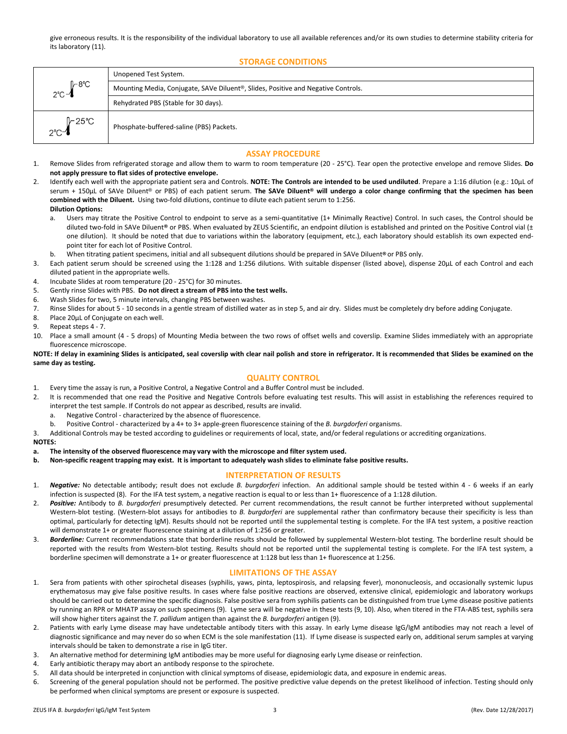give erroneous results. It is the responsibility of the individual laboratory to use all available references and/or its own studies to determine stability criteria for its laboratory (11).

**STORAGE CONDITIONS**

|                                     | Unopened Test System.                                                                          |  |
|-------------------------------------|------------------------------------------------------------------------------------------------|--|
| $\sqrt{2}$ 8°C<br>$2^{\circ}$ C $-$ | Mounting Media, Conjugate, SAVe Diluent <sup>®</sup> , Slides, Positive and Negative Controls. |  |
|                                     | Rehydrated PBS (Stable for 30 days).                                                           |  |
| <b> </b> −25℃<br>$2^{\circ}$ C-4    | Phosphate-buffered-saline (PBS) Packets.                                                       |  |

## **ASSAY PROCEDURE**

- 1. Remove Slides from refrigerated storage and allow them to warm to room temperature (20 25°C). Tear open the protective envelope and remove Slides. **Do not apply pressure to flat sides of protective envelope.**
- 2. Identify each well with the appropriate patient sera and Controls. **NOTE: The Controls are intended to be used undiluted**. Prepare a 1:16 dilution (e.g.: 10µL of serum + 150µL of SAVe Diluent® or PBS) of each patient serum. **The SAVe Diluent® will undergo a color change confirming that the specimen has been combined with the Diluent.** Using two-fold dilutions, continue to dilute each patient serum to 1:256. **Dilution Options:** 
	- a. Users may titrate the Positive Control to endpoint to serve as a semi-quantitative (1+ Minimally Reactive) Control. In such cases, the Control should be diluted two-fold in SAVe Diluent**®** or PBS. When evaluated by ZEUS Scientific, an endpoint dilution is established and printed on the Positive Control vial (± one dilution). It should be noted that due to variations within the laboratory (equipment, etc.), each laboratory should establish its own expected endpoint titer for each lot of Positive Control.
	- b. When titrating patient specimens, initial and all subsequent dilutions should be prepared in SAVe Diluent**®** or PBS only.
- 3. Each patient serum should be screened using the 1:128 and 1:256 dilutions. With suitable dispenser (listed above), dispense 20µL of each Control and each diluted patient in the appropriate wells.
- 4. Incubate Slides at room temperature (20 25°C) for 30 minutes.
- 5. Gently rinse Slides with PBS. **Do not direct a stream of PBS into the test wells.**
- 6. Wash Slides for two, 5 minute intervals, changing PBS between washes.
- 7. Rinse Slides for about 5 10 seconds in a gentle stream of distilled water as in step 5, and air dry. Slides must be completely dry before adding Conjugate.
- 8. Place 20µL of Conjugate on each well.
- 9. Repeat steps 4 7.
- 10. Place a small amount (4 5 drops) of Mounting Media between the two rows of offset wells and coverslip. Examine Slides immediately with an appropriate fluorescence microscope.

#### **NOTE: If delay in examining Slides is anticipated, seal coverslip with clear nail polish and store in refrigerator. It is recommended that Slides be examined on the same day as testing.**

## **QUALITY CONTROL**

- 1. Every time the assay is run, a Positive Control, a Negative Control and a Buffer Control must be included.
- 2. It is recommended that one read the Positive and Negative Controls before evaluating test results. This will assist in establishing the references required to interpret the test sample. If Controls do not appear as described, results are invalid.
	- a. Negative Control characterized by the absence of fluorescence.
	- b. Positive Control characterized by a 4+ to 3+ apple-green fluorescence staining of the *B. burgdorferi* organisms.
- 3. Additional Controls may be tested according to guidelines or requirements of local, state, and/or federal regulations or accrediting organizations.

#### **NOTES:**

- **a. The intensity of the observed fluorescence may vary with the microscope and filter system used.**
- **b. Non-specific reagent trapping may exist. It is important to adequately wash slides to eliminate false positive results.**

# **INTERPRETATION OF RESULTS**

- 1. *Negative:* No detectable antibody; result does not exclude *B. burgdorferi* infection. An additional sample should be tested within 4 6 weeks if an early infection is suspected (8). For the IFA test system, a negative reaction is equal to or less than 1+ fluorescence of a 1:128 dilution.
- 2. *Positive:* Antibody to *B. burgdorferi* presumptively detected. Per current recommendations, the result cannot be further interpreted without supplemental Western-blot testing. (Western-blot assays for antibodies to *B. burgdorferi* are supplemental rather than confirmatory because their specificity is less than optimal, particularly for detecting IgM). Results should not be reported until the supplemental testing is complete. For the IFA test system, a positive reaction will demonstrate 1+ or greater fluorescence staining at a dilution of 1:256 or greater.
- 3. *Borderline:* Current recommendations state that borderline results should be followed by supplemental Western-blot testing. The borderline result should be reported with the results from Western-blot testing. Results should not be reported until the supplemental testing is complete. For the IFA test system, a borderline specimen will demonstrate a 1+ or greater fluorescence at 1:128 but less than 1+ fluorescence at 1:256.

# **LIMITATIONS OF THE ASSAY**

- 1. Sera from patients with other spirochetal diseases (syphilis, yaws, pinta, leptospirosis, and relapsing fever), mononucleosis, and occasionally systemic lupus erythematosus may give false positive results. In cases where false positive reactions are observed, extensive clinical, epidemiologic and laboratory workups should be carried out to determine the specific diagnosis. False positive sera from syphilis patients can be distinguished from true Lyme disease positive patients by running an RPR or MHATP assay on such specimens (9). Lyme sera will be negative in these tests (9, 10). Also, when titered in the FTA-ABS test, syphilis sera will show higher titers against the *T. pallidum* antigen than against the *B. burgdorferi* antigen (9).
- 2. Patients with early Lyme disease may have undetectable antibody titers with this assay. In early Lyme disease IgG/IgM antibodies may not reach a level of diagnostic significance and may never do so when ECM is the sole manifestation (11). If Lyme disease is suspected early on, additional serum samples at varying intervals should be taken to demonstrate a rise in IgG titer.
- 3. An alternative method for determining IgM antibodies may be more useful for diagnosing early Lyme disease or reinfection.
- 4. Early antibiotic therapy may abort an antibody response to the spirochete.
- 5. All data should be interpreted in conjunction with clinical symptoms of disease, epidemiologic data, and exposure in endemic areas.
- 6. Screening of the general population should not be performed. The positive predictive value depends on the pretest likelihood of infection. Testing should only be performed when clinical symptoms are present or exposure is suspected.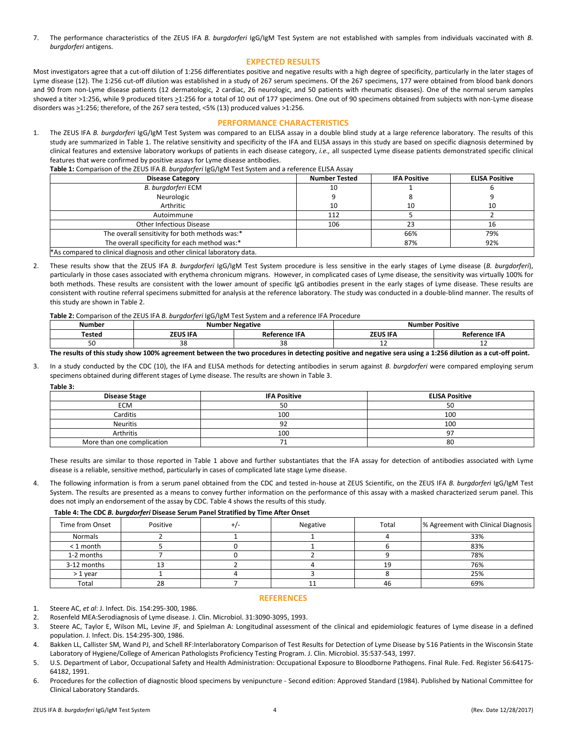7. The performance characteristics of the ZEUS IFA *B. burgdorferi* IgG/IgM Test System are not established with samples from individuals vaccinated with *B. burgdorferi* antigens.

# **EXPECTED RESULTS**

Most investigators agree that a cut-off dilution of 1:256 differentiates positive and negative results with a high degree of specificity, particularly in the later stages of Lyme disease (12). The 1:256 cut-off dilution was established in a study of 267 serum specimens. Of the 267 specimens, 177 were obtained from blood bank donors and 90 from non-Lyme disease patients (12 dermatologic, 2 cardiac, 26 neurologic, and 50 patients with rheumatic diseases). One of the normal serum samples showed a titer >1:256, while 9 produced titers >1:256 for a total of 10 out of 177 specimens. One out of 90 specimens obtained from subjects with non-Lyme disease disorders was >1:256; therefore, of the 267 sera tested, <5% (13) produced values >1:256.

## **PERFORMANCE CHARACTERISTICS**

1. The ZEUS IFA *B. burgdorferi* IgG/IgM Test System was compared to an ELISA assay in a double blind study at a large reference laboratory. The results of this study are summarized in Table 1. The relative sensitivity and specificity of the IFA and ELISA assays in this study are based on specific diagnosis determined by clinical features and extensive laboratory workups of patients in each disease category, *i.e.,* all suspected Lyme disease patients demonstrated specific clinical features that were confirmed by positive assays for Lyme disease antibodies.

|  |  | Table 1: Comparison of the ZEUS IFA B. burgdorferi IgG/IgM Test System and a reference ELISA Assay |
|--|--|----------------------------------------------------------------------------------------------------|
|--|--|----------------------------------------------------------------------------------------------------|

| <b>Disease Category</b>                                                | <b>Number Tested</b> | <b>IFA Positive</b> | <b>ELISA Positive</b> |  |  |
|------------------------------------------------------------------------|----------------------|---------------------|-----------------------|--|--|
| B. burgdorferi ECM                                                     | 10                   |                     |                       |  |  |
| Neurologic                                                             |                      |                     |                       |  |  |
| Arthritic                                                              | 10                   | 10                  | 10                    |  |  |
| Autoimmune                                                             | 112                  |                     |                       |  |  |
| Other Infectious Disease                                               | 106                  | 23                  | 16                    |  |  |
| The overall sensitivity for both methods was:*                         |                      | 66%                 | 79%                   |  |  |
| The overall specificity for each method was:*                          |                      | 87%                 | 92%                   |  |  |
| *As compared to clinical diagnosis and other clinical laboratory data. |                      |                     |                       |  |  |

2. These results show that the ZEUS IFA *B. burgdorferi* IgG/IgM Test System procedure is less sensitive in the early stages of Lyme disease (*B. burgdorferi*), particularly in those cases associated with erythema chronicum migrans. However, in complicated cases of Lyme disease, the sensitivity was virtually 100% for both methods. These results are consistent with the lower amount of specific IgG antibodies present in the early stages of Lyme disease. These results are consistent with routine referral specimens submitted for analysis at the reference laboratory. The study was conducted in a double-blind manner. The results of this study are shown in Table 2.

**Table 2:** Comparison of the ZEUS IFA *B. burgdorferi* IgG/IgM Test System and a reference IFA Procedure

| <b>Number</b> |                 | * Negative    | <b>San Positive</b> |               |  |
|---------------|-----------------|---------------|---------------------|---------------|--|
| Tested        | <b>ZEUS IFA</b> | Reference IFA | <b>ZEUS IFA</b>     | Reference IFA |  |
| οU            | 38              | າດ<br>ںر      | --                  | --            |  |

#### **The results of this study show 100% agreement between the two procedures in detecting positive and negative sera using a 1:256 dilution as a cut-off point.**

3. In a study conducted by the CDC (10), the IFA and ELISA methods for detecting antibodies in serum against *B. burgdorferi* were compared employing serum specimens obtained during different stages of Lyme disease. The results are shown in Table 3.

| I<br>۰.<br>× |  |
|--------------|--|
|              |  |

| Disease Stage              | <b>IFA Positive</b> | <b>ELISA Positive</b> |  |  |
|----------------------------|---------------------|-----------------------|--|--|
| <b>ECM</b>                 | 50                  | 50                    |  |  |
| Carditis                   | 100                 | 100                   |  |  |
| Neuritis                   | 92                  | 100                   |  |  |
| Arthritis                  | 100                 | 97                    |  |  |
| More than one complication |                     | 80                    |  |  |

These results are similar to those reported in Table 1 above and further substantiates that the IFA assay for detection of antibodies associated with Lyme disease is a reliable, sensitive method, particularly in cases of complicated late stage Lyme disease.

4. The following information is from a serum panel obtained from the CDC and tested in-house at ZEUS Scientific, on the ZEUS IFA *B. burgdorferi* IgG/IgM Test System. The results are presented as a means to convey further information on the performance of this assay with a masked characterized serum panel. This does not imply an endorsement of the assay by CDC. Table 4 shows the results of this study.

#### **Table 4: The CDC** *B. burgdorferi* **Disease Serum Panel Stratified by Time After Onset**

| Time from Onset | Positive | $+$ / $\cdot$ | Negative | Total | % Agreement with Clinical Diagnosis |
|-----------------|----------|---------------|----------|-------|-------------------------------------|
| Normals         |          |               |          |       | 33%                                 |
| < 1 month       |          |               |          |       | 83%                                 |
| 1-2 months      |          |               |          |       | 78%                                 |
| 3-12 months     |          |               |          | 19    | 76%                                 |
| $>1$ year       |          |               |          |       | 25%                                 |
| Total           | 28       |               | ᆠ        | 46    | 69%                                 |

#### **REFERENCES**

1. Steere AC, *et al*: J. Infect. Dis. 154:295-300, 1986.

2. Rosenfeld MEA:Serodiagnosis of Lyme disease. J. Clin. Microbiol. 31:3090-3095, 1993.

- 3. Steere AC, Taylor E, Wilson ML, Levine JF, and Spielman A: Longitudinal assessment of the clinical and epidemiologic features of Lyme disease in a defined population. J. Infect. Dis. 154:295-300, 1986.
- 4. Bakken LL, Callister SM, Wand PJ, and Schell RF:Interlaboratory Comparison of Test Results for Detection of Lyme Disease by 516 Patients in the Wisconsin State Laboratory of Hygiene/College of American Pathologists Proficiency Testing Program. J. Clin. Microbiol. 35:537-543, 1997.
- 5. U.S. Department of Labor, Occupational Safety and Health Administration: Occupational Exposure to Bloodborne Pathogens. Final Rule. Fed. Register 56:64175- 64182, 1991.
- 6. Procedures for the collection of diagnostic blood specimens by venipuncture Second edition: Approved Standard (1984). Published by National Committee for Clinical Laboratory Standards.